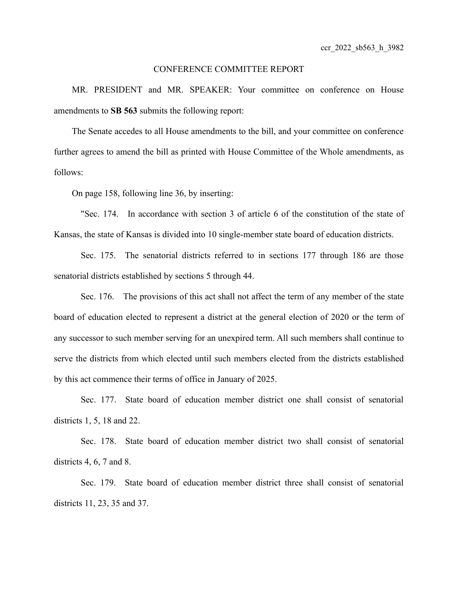## CONFERENCE COMMITTEE REPORT

MR. PRESIDENT and MR. SPEAKER: Your committee on conference on House amendments to **SB 563** submits the following report:

The Senate accedes to all House amendments to the bill, and your committee on conference further agrees to amend the bill as printed with House Committee of the Whole amendments, as follows:

On page 158, following line 36, by inserting:

"Sec. 174. In accordance with section 3 of article 6 of the constitution of the state of Kansas, the state of Kansas is divided into 10 single-member state board of education districts.

Sec. 175. The senatorial districts referred to in sections 177 through 186 are those senatorial districts established by sections 5 through 44.

Sec. 176. The provisions of this act shall not affect the term of any member of the state board of education elected to represent a district at the general election of 2020 or the term of any successor to such member serving for an unexpired term. All such members shall continue to serve the districts from which elected until such members elected from the districts established by this act commence their terms of office in January of 2025.

Sec. 177. State board of education member district one shall consist of senatorial districts 1, 5, 18 and 22.

Sec. 178. State board of education member district two shall consist of senatorial districts 4, 6, 7 and 8.

Sec. 179. State board of education member district three shall consist of senatorial districts 11, 23, 35 and 37.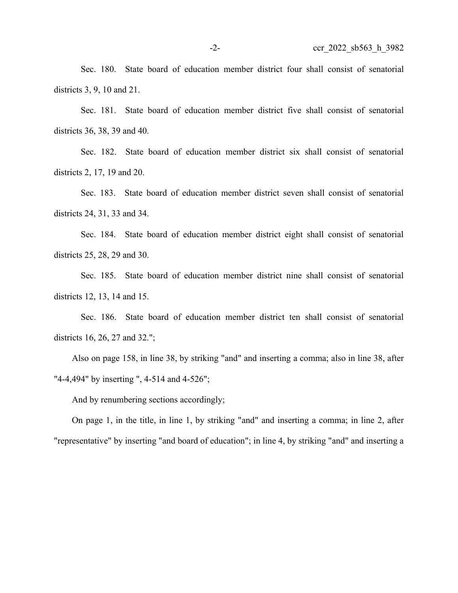Sec. 180. State board of education member district four shall consist of senatorial districts 3, 9, 10 and 21.

Sec. 181. State board of education member district five shall consist of senatorial districts 36, 38, 39 and 40.

Sec. 182. State board of education member district six shall consist of senatorial districts 2, 17, 19 and 20.

Sec. 183. State board of education member district seven shall consist of senatorial districts 24, 31, 33 and 34.

Sec. 184. State board of education member district eight shall consist of senatorial districts 25, 28, 29 and 30.

Sec. 185. State board of education member district nine shall consist of senatorial districts 12, 13, 14 and 15.

Sec. 186. State board of education member district ten shall consist of senatorial districts 16, 26, 27 and 32.";

Also on page 158, in line 38, by striking "and" and inserting a comma; also in line 38, after "4-4,494" by inserting ", 4-514 and 4-526";

And by renumbering sections accordingly;

On page 1, in the title, in line 1, by striking "and" and inserting a comma; in line 2, after "representative" by inserting "and board of education"; in line 4, by striking "and" and inserting a